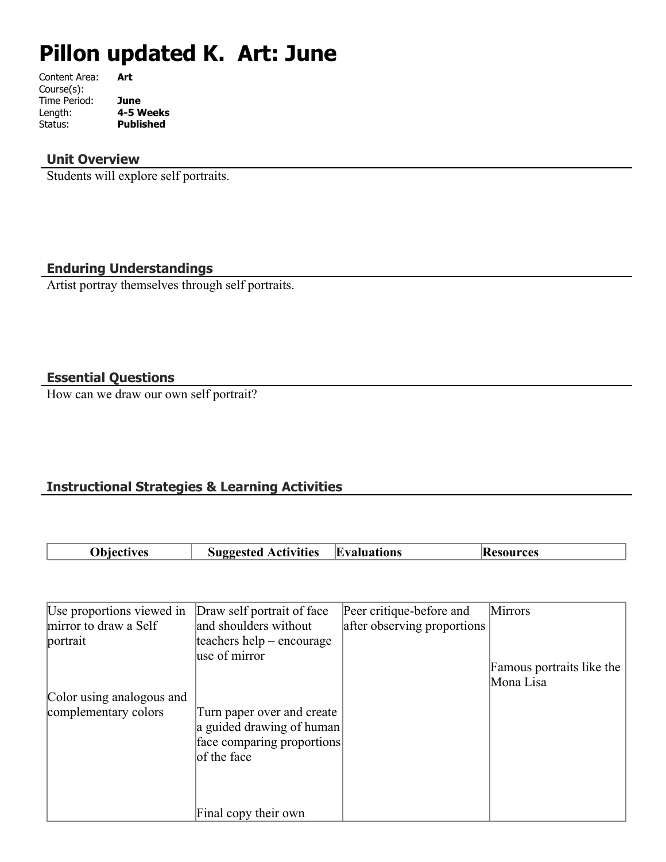# **Pillon updated K. Art: June**

| Art       |
|-----------|
|           |
| June      |
| 4-5 Weeks |
| Published |
|           |

#### **Unit Overview**

Students will explore self portraits.

# **Enduring Understandings**

Artist portray themselves through self portraits.

## **Essential Questions**

How can we draw our own self portrait?

# **Instructional Strategies & Learning Activities**

| Obiectives | <b>Suggested Activities</b> | Evaluations | <b>Resources</b> |
|------------|-----------------------------|-------------|------------------|
|            |                             |             |                  |

| Use proportions viewed in | Draw self portrait of face  | Peer critique-before and    | <b>Mirrors</b>            |
|---------------------------|-----------------------------|-----------------------------|---------------------------|
| mirror to draw a Self     | and shoulders without       | after observing proportions |                           |
| portrait                  | teachers help $-$ encourage |                             |                           |
|                           | use of mirror               |                             |                           |
|                           |                             |                             | Famous portraits like the |
|                           |                             |                             | Mona Lisa                 |
| Color using analogous and |                             |                             |                           |
| complementary colors      | Turn paper over and create  |                             |                           |
|                           | a guided drawing of human   |                             |                           |
|                           | face comparing proportions  |                             |                           |
|                           | of the face                 |                             |                           |
|                           |                             |                             |                           |
|                           |                             |                             |                           |
|                           | Final copy their own        |                             |                           |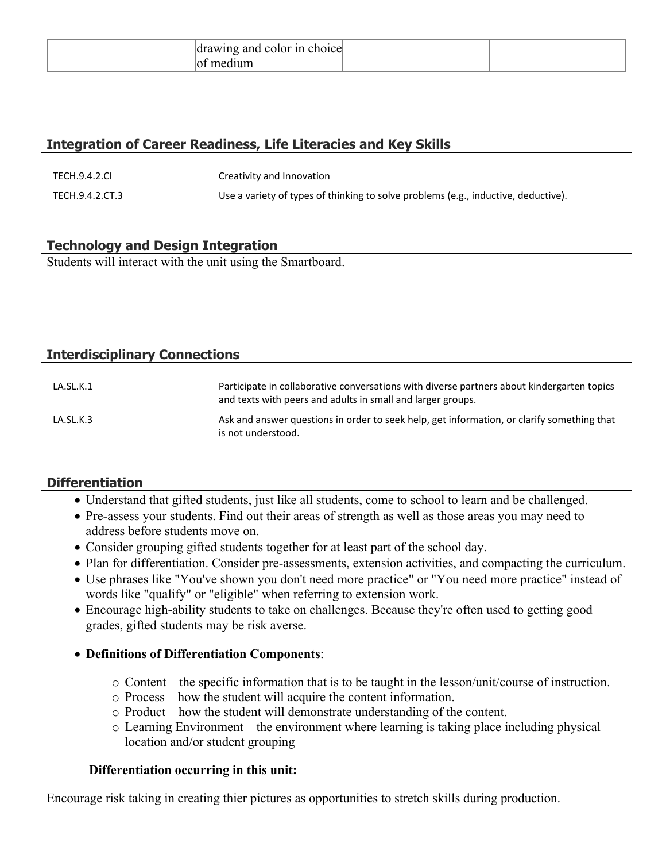|  |  | r color in<br>choice<br>anc<br><b>INP</b> |  |  |
|--|--|-------------------------------------------|--|--|
|--|--|-------------------------------------------|--|--|

## **Integration of Career Readiness, Life Literacies and Key Skills**

| TECH.9.4.2.CI   | Creativity and Innovation                                                          |
|-----------------|------------------------------------------------------------------------------------|
| TECH.9.4.2.CT.3 | Use a variety of types of thinking to solve problems (e.g., inductive, deductive). |

# **Technology and Design Integration**

Students will interact with the unit using the Smartboard.

# **Interdisciplinary Connections**

| LA.SL.K.1 | Participate in collaborative conversations with diverse partners about kindergarten topics<br>and texts with peers and adults in small and larger groups. |
|-----------|-----------------------------------------------------------------------------------------------------------------------------------------------------------|
| LA.SL.K.3 | Ask and answer questions in order to seek help, get information, or clarify something that<br>is not understood.                                          |

#### **Differentiation**

- Understand that gifted students, just like all students, come to school to learn and be challenged.
- Pre-assess your students. Find out their areas of strength as well as those areas you may need to address before students move on.
- Consider grouping gifted students together for at least part of the school day.
- Plan for differentiation. Consider pre-assessments, extension activities, and compacting the curriculum.
- Use phrases like "You've shown you don't need more practice" or "You need more practice" instead of words like "qualify" or "eligible" when referring to extension work.
- Encourage high-ability students to take on challenges. Because they're often used to getting good grades, gifted students may be risk averse.

#### **Definitions of Differentiation Components**:

- o Content the specific information that is to be taught in the lesson/unit/course of instruction.
- o Process how the student will acquire the content information.
- o Product how the student will demonstrate understanding of the content.
- o Learning Environment the environment where learning is taking place including physical location and/or student grouping

#### **Differentiation occurring in this unit:**

Encourage risk taking in creating thier pictures as opportunities to stretch skills during production.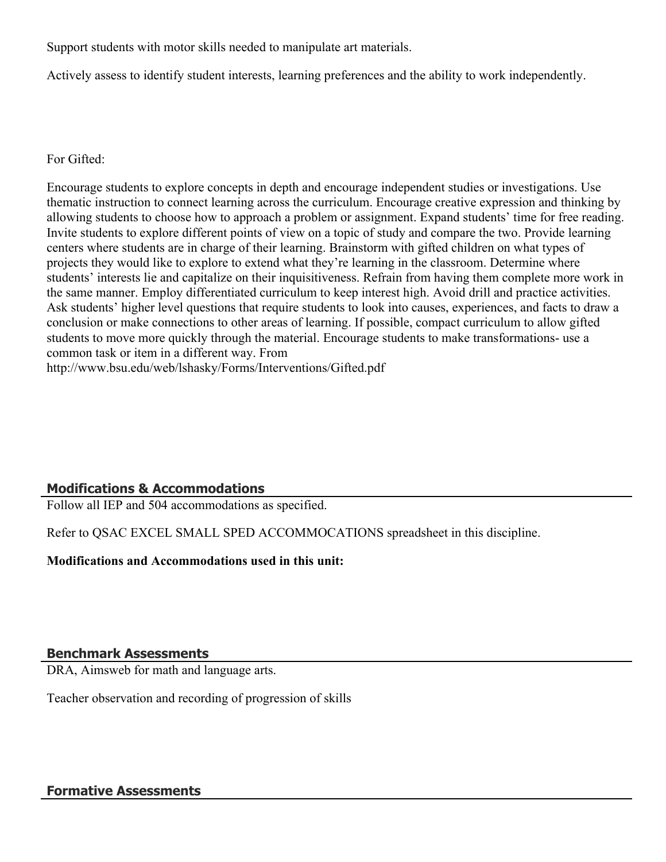Support students with motor skills needed to manipulate art materials.

Actively assess to identify student interests, learning preferences and the ability to work independently.

For Gifted:

Encourage students to explore concepts in depth and encourage independent studies or investigations. Use thematic instruction to connect learning across the curriculum. Encourage creative expression and thinking by allowing students to choose how to approach a problem or assignment. Expand students' time for free reading. Invite students to explore different points of view on a topic of study and compare the two. Provide learning centers where students are in charge of their learning. Brainstorm with gifted children on what types of projects they would like to explore to extend what they're learning in the classroom. Determine where students' interests lie and capitalize on their inquisitiveness. Refrain from having them complete more work in the same manner. Employ differentiated curriculum to keep interest high. Avoid drill and practice activities. Ask students' higher level questions that require students to look into causes, experiences, and facts to draw a conclusion or make connections to other areas of learning. If possible, compact curriculum to allow gifted students to move more quickly through the material. Encourage students to make transformations- use a common task or item in a different way. From

http://www.bsu.edu/web/lshasky/Forms/Interventions/Gifted.pdf

# **Modifications & Accommodations**

Follow all IEP and 504 accommodations as specified.

Refer to QSAC EXCEL SMALL SPED ACCOMMOCATIONS spreadsheet in this discipline.

**Modifications and Accommodations used in this unit:**

#### **Benchmark Assessments**

DRA, Aimsweb for math and language arts.

Teacher observation and recording of progression of skills

#### **Formative Assessments**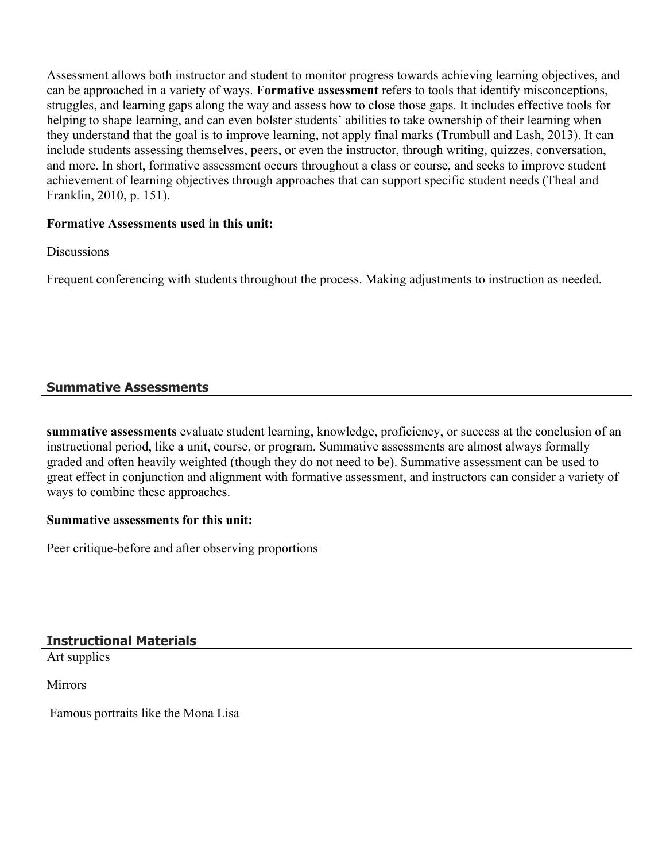Assessment allows both instructor and student to monitor progress towards achieving learning objectives, and can be approached in a variety of ways. **Formative assessment** refers to tools that identify misconceptions, struggles, and learning gaps along the way and assess how to close those gaps. It includes effective tools for helping to shape learning, and can even bolster students' abilities to take ownership of their learning when they understand that the goal is to improve learning, not apply final marks (Trumbull and Lash, 2013). It can include students assessing themselves, peers, or even the instructor, through writing, quizzes, conversation, and more. In short, formative assessment occurs throughout a class or course, and seeks to improve student achievement of learning objectives through approaches that can support specific student needs (Theal and Franklin, 2010, p. 151).

#### **Formative Assessments used in this unit:**

**Discussions** 

Frequent conferencing with students throughout the process. Making adjustments to instruction as needed.

## **Summative Assessments**

**summative assessments** evaluate student learning, knowledge, proficiency, or success at the conclusion of an instructional period, like a unit, course, or program. Summative assessments are almost always formally graded and often heavily weighted (though they do not need to be). Summative assessment can be used to great effect in conjunction and alignment with formative assessment, and instructors can consider a variety of ways to combine these approaches.

#### **Summative assessments for this unit:**

Peer critique-before and after observing proportions

**Instructional Materials**

Art supplies

**Mirrors** 

Famous portraits like the Mona Lisa